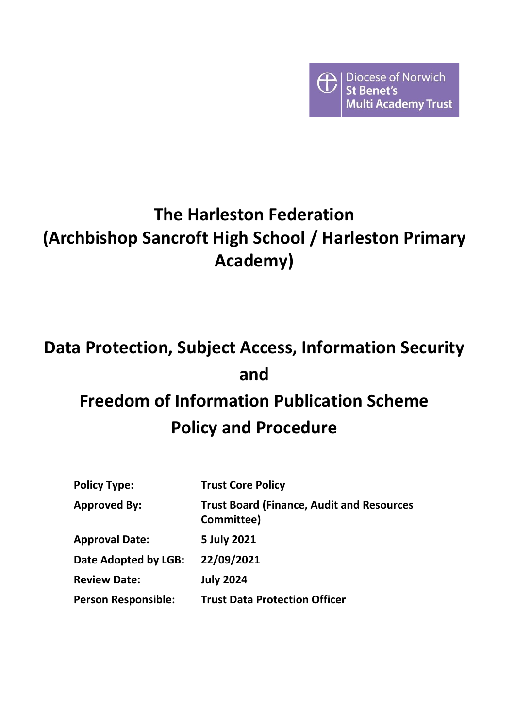

# **The Harleston Federation (Archbishop Sancroft High School / Harleston Primary Academy)**

# **Data Protection, Subject Access, Information Security and Freedom of Information Publication Scheme**

# **Policy and Procedure**

| <b>Policy Type:</b>        | <b>Trust Core Policy</b>                                       |
|----------------------------|----------------------------------------------------------------|
| <b>Approved By:</b>        | <b>Trust Board (Finance, Audit and Resources</b><br>Committee) |
| <b>Approval Date:</b>      | 5 July 2021                                                    |
| Date Adopted by LGB:       | 22/09/2021                                                     |
| <b>Review Date:</b>        | <b>July 2024</b>                                               |
| <b>Person Responsible:</b> | <b>Trust Data Protection Officer</b>                           |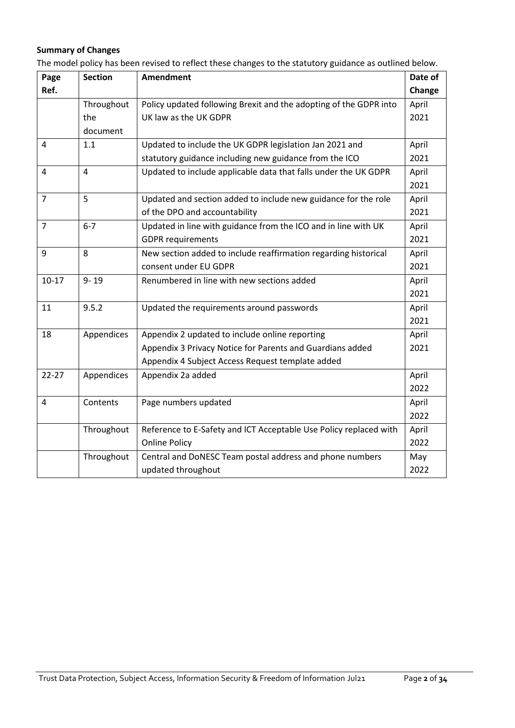# **Summary of Changes**

The model policy has been revised to reflect these changes to the statutory guidance as outlined below.

| Page           | <b>Section</b> | Amendment                                                         | Date of |
|----------------|----------------|-------------------------------------------------------------------|---------|
| Ref.           |                |                                                                   | Change  |
|                | Throughout     | Policy updated following Brexit and the adopting of the GDPR into | April   |
|                | the            | UK law as the UK GDPR                                             | 2021    |
|                | document       |                                                                   |         |
| 4              | 1.1            | Updated to include the UK GDPR legislation Jan 2021 and           | April   |
|                |                | statutory guidance including new guidance from the ICO            | 2021    |
| 4              | $\overline{4}$ | Updated to include applicable data that falls under the UK GDPR   | April   |
|                |                |                                                                   | 2021    |
| $\overline{7}$ | 5              | Updated and section added to include new guidance for the role    | April   |
|                |                | of the DPO and accountability                                     | 2021    |
| $\overline{7}$ | $6 - 7$        | Updated in line with guidance from the ICO and in line with UK    | April   |
|                |                | <b>GDPR</b> requirements                                          | 2021    |
| 9              | 8              | New section added to include reaffirmation regarding historical   | April   |
|                |                | consent under EU GDPR                                             | 2021    |
| $10-17$        | $9 - 19$       | Renumbered in line with new sections added                        | April   |
|                |                |                                                                   | 2021    |
| 11             | 9.5.2          | Updated the requirements around passwords                         | April   |
|                |                |                                                                   | 2021    |
| 18             | Appendices     | Appendix 2 updated to include online reporting                    | April   |
|                |                | Appendix 3 Privacy Notice for Parents and Guardians added         | 2021    |
|                |                | Appendix 4 Subject Access Request template added                  |         |
| $22 - 27$      | Appendices     | Appendix 2a added                                                 | April   |
|                |                |                                                                   | 2022    |
| 4              | Contents       | Page numbers updated                                              | April   |
|                |                |                                                                   | 2022    |
|                | Throughout     | Reference to E-Safety and ICT Acceptable Use Policy replaced with | April   |
|                |                | <b>Online Policy</b>                                              | 2022    |
|                | Throughout     | Central and DoNESC Team postal address and phone numbers          | May     |
|                |                | updated throughout                                                | 2022    |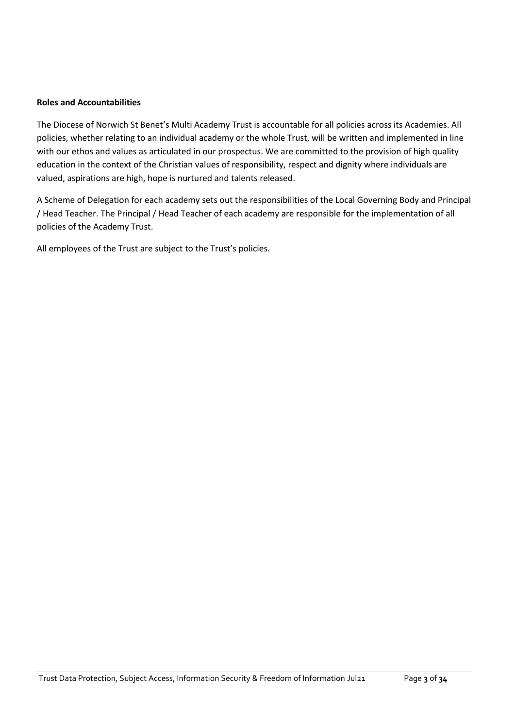#### **Roles and Accountabilities**

The Diocese of Norwich St Benet's Multi Academy Trust is accountable for all policies across its Academies. All policies, whether relating to an individual academy or the whole Trust, will be written and implemented in line with our ethos and values as articulated in our prospectus. We are committed to the provision of high quality education in the context of the Christian values of responsibility, respect and dignity where individuals are valued, aspirations are high, hope is nurtured and talents released.

A Scheme of Delegation for each academy sets out the responsibilities of the Local Governing Body and Principal / Head Teacher. The Principal / Head Teacher of each academy are responsible for the implementation of all policies of the Academy Trust.

All employees of the Trust are subject to the Trust's policies.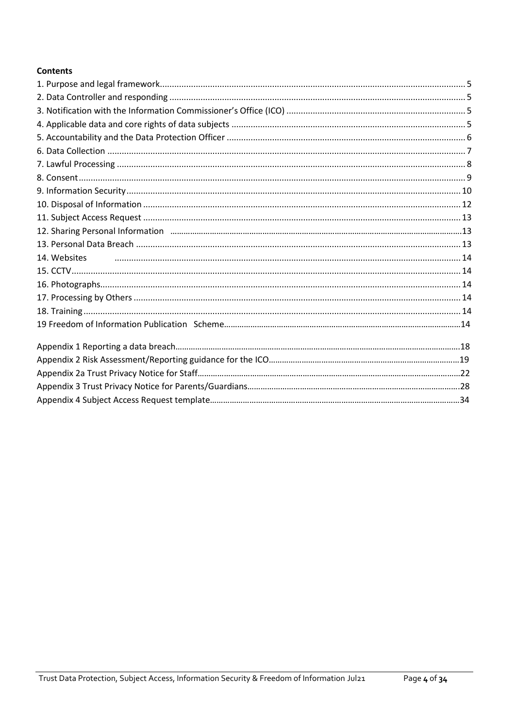# **Contents**

| 14. Websites |  |
|--------------|--|
|              |  |
|              |  |
|              |  |
|              |  |
|              |  |
|              |  |
|              |  |
|              |  |
|              |  |
|              |  |
|              |  |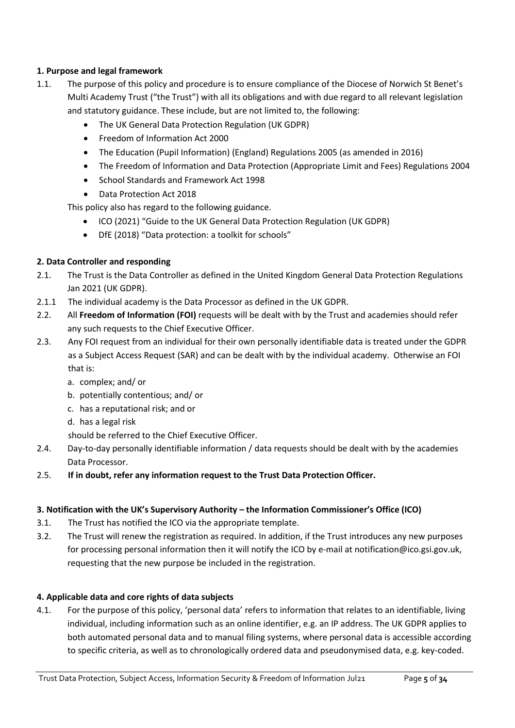# <span id="page-4-0"></span>**1. Purpose and legal framework**

- <span id="page-4-1"></span>1.1. The purpose of this policy and procedure is to ensure compliance of the Diocese of Norwich St Benet's Multi Academy Trust ("the Trust") with all its obligations and with due regard to all relevant legislation and statutory guidance. These include, but are not limited to, the following:
	- The UK General Data Protection Regulation (UK GDPR)
	- Freedom of Information Act 2000
	- The Education (Pupil Information) (England) Regulations 2005 (as amended in 2016)
	- The Freedom of Information and Data Protection (Appropriate Limit and Fees) Regulations 2004
	- School Standards and Framework Act 1998
	- Data Protection Act 2018

This policy also has regard to the following guidance.

- ICO (2021) ["Guide to the UK General Data Protection Regulation \(UK GDPR\)](https://ico.org.uk/for-organisations/guide-to-data-protection/guide-to-the-general-data-protection-regulation-gdpr/)
- DfE (2018) ["Data protection: a toolkit for schools"](https://www.gov.uk/government/publications/data-protection-toolkit-for-schools)

# **2. Data Controller and responding**

- 2.1. The Trust is the Data Controller as defined in the United Kingdom General Data Protection Regulations Jan 2021 (UK GDPR).
- 2.1.1 The individual academy is the Data Processor as defined in the UK GDPR.
- 2.2. All **Freedom of Information (FOI)** requests will be dealt with by the Trust and academies should refer any such requests to the Chief Executive Officer.
- 2.3. Any FOI request from an individual for their own personally identifiable data is treated under the GDPR as a Subject Access Request (SAR) and can be dealt with by the individual academy. Otherwise an FOI that is:
	- a. complex; and/ or
	- b. potentially contentious; and/ or
	- c. has a reputational risk; and or
	- d. has a legal risk

should be referred to the Chief Executive Officer.

- 2.4. Day-to-day personally identifiable information / data requests should be dealt with by the academies Data Processor.
- <span id="page-4-2"></span>2.5. **If in doubt, refer any information request to the Trust Data Protection Officer.**

# **3. Notification with the UK's Supervisory Authority – the Information Commissioner's Office (ICO)**

- 3.1. The Trust has notified the ICO via the appropriate template.
- 3.2. The Trust will renew the registration as required. In addition, if the Trust introduces any new purposes for processing personal information then it will notify the ICO by e-mail at notification@ico.gsi.gov.uk, requesting that the new purpose be included in the registration.

# <span id="page-4-3"></span>**4. Applicable data and core rights of data subjects**

4.1. For the purpose of this policy, 'personal data' refers to information that relates to an identifiable, living individual, including information such as an online identifier, e.g. an IP address. The UK GDPR applies to both automated personal data and to manual filing systems, where personal data is accessible according to specific criteria, as well as to chronologically ordered data and pseudonymised data, e.g. key-coded.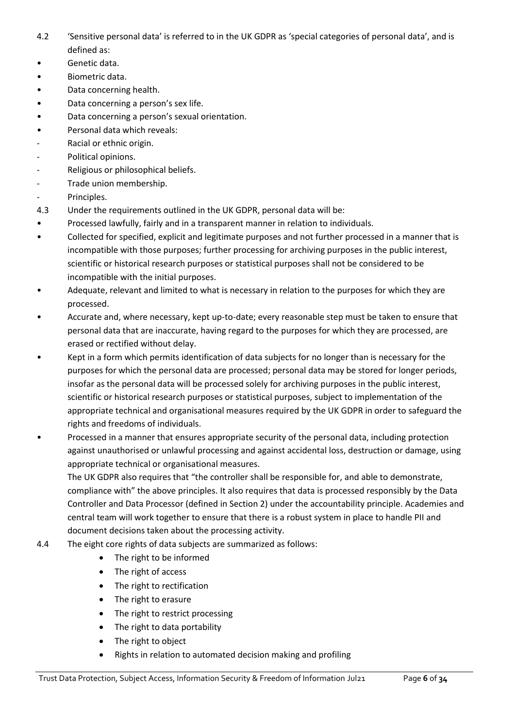- 4.2 'Sensitive personal data' is referred to in the UK GDPR as 'special categories of personal data', and is defined as:
- Genetic data.
- Biometric data.
- Data concerning health.
- Data concerning a person's sex life.
- Data concerning a person's sexual orientation.
- Personal data which reveals:
- Racial or ethnic origin.
- Political opinions.
- Religious or philosophical beliefs.
- Trade union membership.
- Principles.
- 4.3 Under the requirements outlined in the UK GDPR, personal data will be:
- Processed lawfully, fairly and in a transparent manner in relation to individuals.
- Collected for specified, explicit and legitimate purposes and not further processed in a manner that is incompatible with those purposes; further processing for archiving purposes in the public interest, scientific or historical research purposes or statistical purposes shall not be considered to be incompatible with the initial purposes.
- Adequate, relevant and limited to what is necessary in relation to the purposes for which they are processed.
- Accurate and, where necessary, kept up-to-date; every reasonable step must be taken to ensure that personal data that are inaccurate, having regard to the purposes for which they are processed, are erased or rectified without delay.
- Kept in a form which permits identification of data subjects for no longer than is necessary for the purposes for which the personal data are processed; personal data may be stored for longer periods, insofar as the personal data will be processed solely for archiving purposes in the public interest, scientific or historical research purposes or statistical purposes, subject to implementation of the appropriate technical and organisational measures required by the UK GDPR in order to safeguard the rights and freedoms of individuals.
- Processed in a manner that ensures appropriate security of the personal data, including protection against unauthorised or unlawful processing and against accidental loss, destruction or damage, using appropriate technical or organisational measures.

The UK GDPR also requires that "the controller shall be responsible for, and able to demonstrate, compliance with" the above principles. It also requires that data is processed responsibly by the Data Controller and Data Processor (defined in Section 2) under the accountability principle. Academies and central team will work together to ensure that there is a robust system in place to handle PII and document decisions taken about the processing activity.

- 4.4 The eight core rights of data subjects are summarized as follows:
	- The right to be informed
	- The right of access
	- The right to rectification
	- The right to erasure
	- The right to restrict processing
	- The right to data portability
	- The right to object
	- Rights in relation to automated decision making and profiling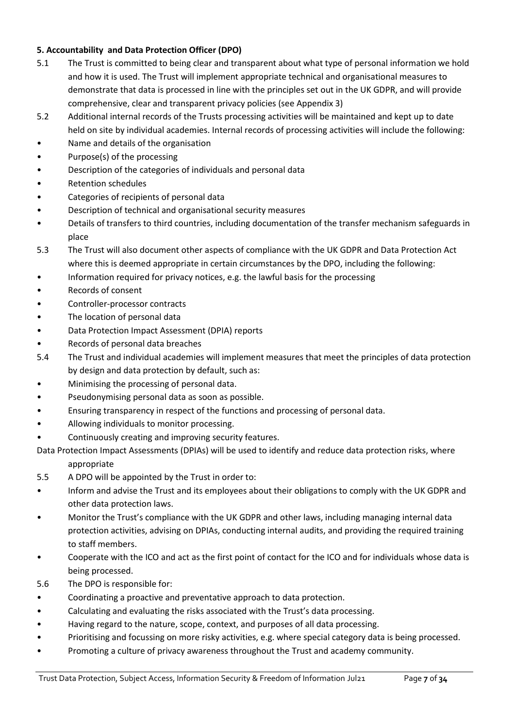# **5. Accountability and Data Protection Officer (DPO)**

- 5.1 The Trust is committed to being clear and transparent about what type of personal information we hold and how it is used. The Trust will implement appropriate technical and organisational measures to demonstrate that data is processed in line with the principles set out in the UK GDPR, and will provide comprehensive, clear and transparent privacy policies (see Appendix 3)
- 5.2 Additional internal records of the Trusts processing activities will be maintained and kept up to date held on site by individual academies. Internal records of processing activities will include the following:
- Name and details of the organisation
- Purpose(s) of the processing
- Description of the categories of individuals and personal data
- Retention schedules
- Categories of recipients of personal data
- Description of technical and organisational security measures
- Details of transfers to third countries, including documentation of the transfer mechanism safeguards in place
- 5.3 The Trust will also document other aspects of compliance with the UK GDPR and Data Protection Act where this is deemed appropriate in certain circumstances by the DPO, including the following:
- Information required for privacy notices, e.g. the lawful basis for the processing
- Records of consent
- Controller-processor contracts
- The location of personal data
- Data Protection Impact Assessment (DPIA) reports
- Records of personal data breaches
- 5.4 The Trust and individual academies will implement measures that meet the principles of data protection by design and data protection by default, such as:
- Minimising the processing of personal data.
- Pseudonymising personal data as soon as possible.
- Ensuring transparency in respect of the functions and processing of personal data.
- Allowing individuals to monitor processing.
- Continuously creating and improving security features.
- Data Protection Impact Assessments (DPIAs) will be used to identify and reduce data protection risks, where appropriate
- 5.5 A DPO will be appointed by the Trust in order to:
- Inform and advise the Trust and its employees about their obligations to comply with the UK GDPR and other data protection laws.
- Monitor the Trust's compliance with the UK GDPR and other laws, including managing internal data protection activities, advising on DPIAs, conducting internal audits, and providing the required training to staff members.
- Cooperate with the ICO and act as the first point of contact for the ICO and for individuals whose data is being processed.
- 5.6 The DPO is responsible for:
- Coordinating a proactive and preventative approach to data protection.
- Calculating and evaluating the risks associated with the Trust's data processing.
- Having regard to the nature, scope, context, and purposes of all data processing.
- Prioritising and focussing on more risky activities, e.g. where special category data is being processed.
- Promoting a culture of privacy awareness throughout the Trust and academy community.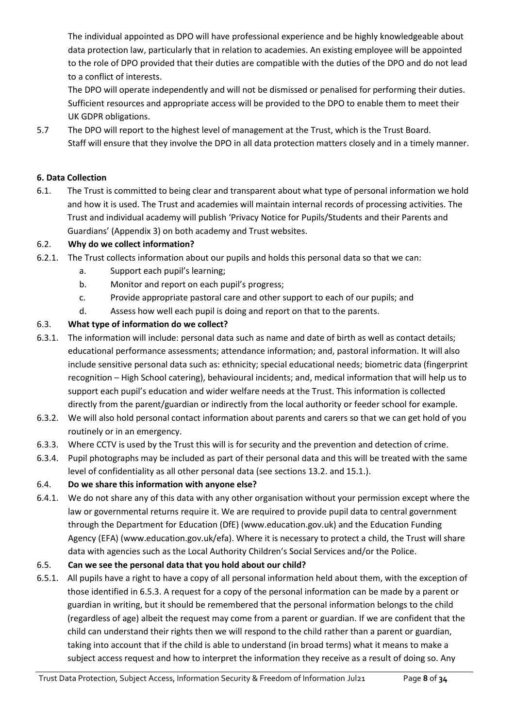The individual appointed as DPO will have professional experience and be highly knowledgeable about data protection law, particularly that in relation to academies. An existing employee will be appointed to the role of DPO provided that their duties are compatible with the duties of the DPO and do not lead to a conflict of interests.

The DPO will operate independently and will not be dismissed or penalised for performing their duties. Sufficient resources and appropriate access will be provided to the DPO to enable them to meet their UK GDPR obligations.

5.7 The DPO will report to the highest level of management at the Trust, which is the Trust Board. Staff will ensure that they involve the DPO in all data protection matters closely and in a timely manner.

# <span id="page-7-0"></span>**6. Data Collection**

6.1. The Trust is committed to being clear and transparent about what type of personal information we hold and how it is used. The Trust and academies will maintain internal records of processing activities. The Trust and individual academy will publish 'Privacy Notice for Pupils/Students and their Parents and Guardians' (Appendix 3) on both academy and Trust websites.

# 6.2. **Why do we collect information?**

- 6.2.1. The Trust collects information about our pupils and holds this personal data so that we can:
	- a. Support each pupil's learning;
	- b. Monitor and report on each pupil's progress;
	- c. Provide appropriate pastoral care and other support to each of our pupils; and
	- d. Assess how well each pupil is doing and report on that to the parents.

# 6.3. **What type of information do we collect?**

- 6.3.1. The information will include: personal data such as name and date of birth as well as contact details; educational performance assessments; attendance information; and, pastoral information. It will also include sensitive personal data such as: ethnicity; special educational needs; biometric data (fingerprint recognition – High School catering), behavioural incidents; and, medical information that will help us to support each pupil's education and wider welfare needs at the Trust. This information is collected directly from the parent/guardian or indirectly from the local authority or feeder school for example.
- 6.3.2. We will also hold personal contact information about parents and carers so that we can get hold of you routinely or in an emergency.
- 6.3.3. Where CCTV is used by the Trust this will is for security and the prevention and detection of crime.
- 6.3.4. Pupil photographs may be included as part of their personal data and this will be treated with the same level of confidentiality as all other personal data (see sections 13.2. and 15.1.).

# 6.4. **Do we share this information with anyone else?**

6.4.1. We do not share any of this data with any other organisation without your permission except where the law or governmental returns require it. We are required to provide pupil data to central government through the Department for Education (DfE) (www.education.gov.uk) and the Education Funding Agency (EFA) (www.education.gov.uk/efa). Where it is necessary to protect a child, the Trust will share data with agencies such as the Local Authority Children's Social Services and/or the Police.

# 6.5. **Can we see the personal data that you hold about our child?**

6.5.1. All pupils have a right to have a copy of all personal information held about them, with the exception of those identified in 6.5.3. A request for a copy of the personal information can be made by a parent or guardian in writing, but it should be remembered that the personal information belongs to the child (regardless of age) albeit the request may come from a parent or guardian. If we are confident that the child can understand their rights then we will respond to the child rather than a parent or guardian, taking into account that if the child is able to understand (in broad terms) what it means to make a subject access request and how to interpret the information they receive as a result of doing so. Any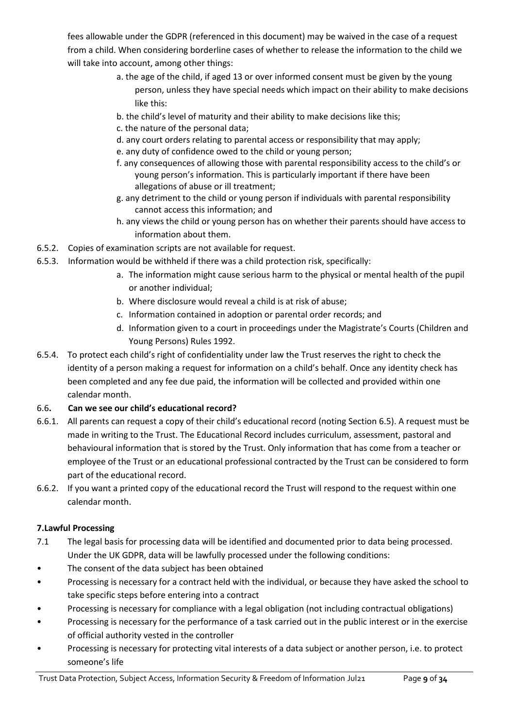fees allowable under the GDPR (referenced in this document) may be waived in the case of a request from a child. When considering borderline cases of whether to release the information to the child we will take into account, among other things:

- a. the age of the child, if aged 13 or over informed consent must be given by the young person, unless they have special needs which impact on their ability to make decisions like this:
- b. the child's level of maturity and their ability to make decisions like this;
- c. the nature of the personal data;
- d. any court orders relating to parental access or responsibility that may apply;
- e. any duty of confidence owed to the child or young person;
- f. any consequences of allowing those with parental responsibility access to the child's or young person's information. This is particularly important if there have been allegations of abuse or ill treatment;
- g. any detriment to the child or young person if individuals with parental responsibility cannot access this information; and
- h. any views the child or young person has on whether their parents should have access to information about them.
- 6.5.2. Copies of examination scripts are not available for request.
- 6.5.3. Information would be withheld if there was a child protection risk, specifically:
	- a. The information might cause serious harm to the physical or mental health of the pupil or another individual;
	- b. Where disclosure would reveal a child is at risk of abuse;
	- c. Information contained in adoption or parental order records; and
	- d. Information given to a court in proceedings under the Magistrate's Courts (Children and Young Persons) Rules 1992.
- 6.5.4. To protect each child's right of confidentiality under law the Trust reserves the right to check the identity of a person making a request for information on a child's behalf. Once any identity check has been completed and any fee due paid, the information will be collected and provided within one calendar month.
- 6.6**. Can we see our child's educational record?**
- 6.6.1. All parents can request a copy of their child's educational record (noting Section 6.5). A request must be made in writing to the Trust. The Educational Record includes curriculum, assessment, pastoral and behavioural information that is stored by the Trust. Only information that has come from a teacher or employee of the Trust or an educational professional contracted by the Trust can be considered to form part of the educational record.
- 6.6.2. If you want a printed copy of the educational record the Trust will respond to the request within one calendar month.

# **7.Lawful Processing**

- 7.1 The legal basis for processing data will be identified and documented prior to data being processed. Under the UK GDPR, data will be lawfully processed under the following conditions:
- The consent of the data subject has been obtained
- Processing is necessary for a contract held with the individual, or because they have asked the school to take specific steps before entering into a contract
- Processing is necessary for compliance with a legal obligation (not including contractual obligations)
- Processing is necessary for the performance of a task carried out in the public interest or in the exercise of official authority vested in the controller
- Processing is necessary for protecting vital interests of a data subject or another person, i.e. to protect someone's life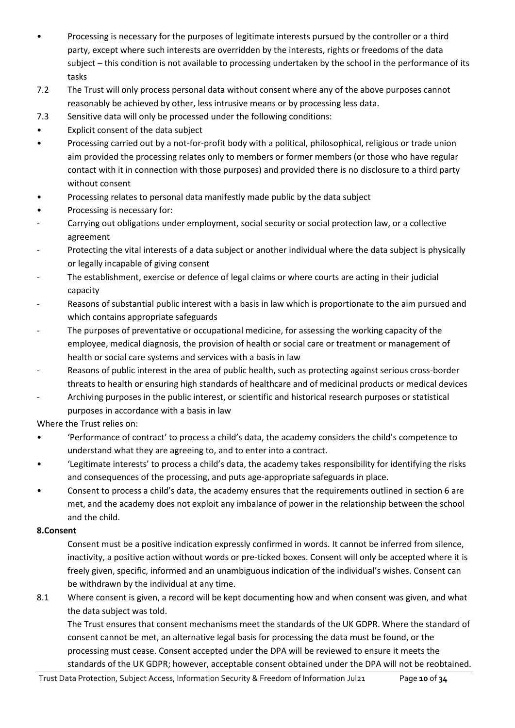- Processing is necessary for the purposes of legitimate interests pursued by the controller or a third party, except where such interests are overridden by the interests, rights or freedoms of the data subject – this condition is not available to processing undertaken by the school in the performance of its tasks
- 7.2 The Trust will only process personal data without consent where any of the above purposes cannot reasonably be achieved by other, less intrusive means or by processing less data.
- 7.3 Sensitive data will only be processed under the following conditions:
- Explicit consent of the data subject
- Processing carried out by a not-for-profit body with a political, philosophical, religious or trade union aim provided the processing relates only to members or former members (or those who have regular contact with it in connection with those purposes) and provided there is no disclosure to a third party without consent
- Processing relates to personal data manifestly made public by the data subject
- Processing is necessary for:
- Carrying out obligations under employment, social security or social protection law, or a collective agreement
- Protecting the vital interests of a data subject or another individual where the data subject is physically or legally incapable of giving consent
- The establishment, exercise or defence of legal claims or where courts are acting in their judicial capacity
- Reasons of substantial public interest with a basis in law which is proportionate to the aim pursued and which contains appropriate safeguards
- The purposes of preventative or occupational medicine, for assessing the working capacity of the employee, medical diagnosis, the provision of health or social care or treatment or management of health or social care systems and services with a basis in law
- Reasons of public interest in the area of public health, such as protecting against serious cross-border threats to health or ensuring high standards of healthcare and of medicinal products or medical devices
- Archiving purposes in the public interest, or scientific and historical research purposes or statistical purposes in accordance with a basis in law

Where the Trust relies on:

- 'Performance of contract' to process a child's data, the academy considers the child's competence to understand what they are agreeing to, and to enter into a contract.
- 'Legitimate interests' to process a child's data, the academy takes responsibility for identifying the risks and consequences of the processing, and puts age-appropriate safeguards in place.
- Consent to process a child's data, the academy ensures that the requirements outlined in section 6 are met, and the academy does not exploit any imbalance of power in the relationship between the school and the child.

# **8.Consent**

Consent must be a positive indication expressly confirmed in words. It cannot be inferred from silence, inactivity, a positive action without words or pre-ticked boxes. Consent will only be accepted where it is freely given, specific, informed and an unambiguous indication of the individual's wishes. Consent can be withdrawn by the individual at any time.

8.1 Where consent is given, a record will be kept documenting how and when consent was given, and what the data subject was told.

The Trust ensures that consent mechanisms meet the standards of the UK GDPR. Where the standard of consent cannot be met, an alternative legal basis for processing the data must be found, or the processing must cease. Consent accepted under the DPA will be reviewed to ensure it meets the standards of the UK GDPR; however, acceptable consent obtained under the DPA will not be reobtained.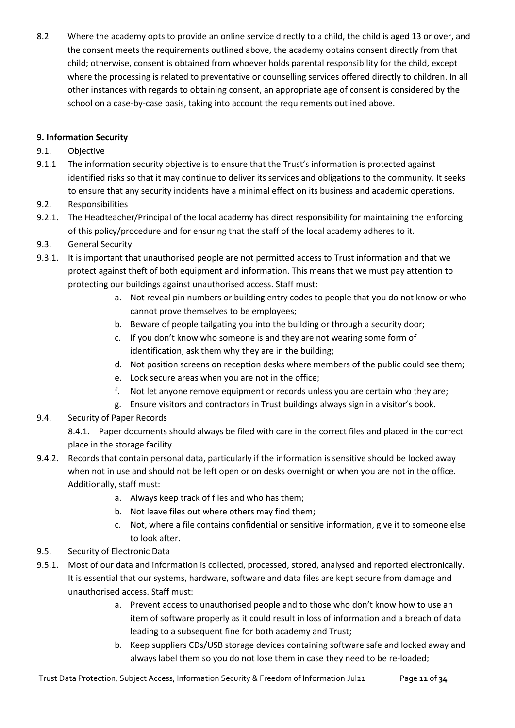8.2 Where the academy opts to provide an online service directly to a child, the child is aged 13 or over, and the consent meets the requirements outlined above, the academy obtains consent directly from that child; otherwise, consent is obtained from whoever holds parental responsibility for the child, except where the processing is related to preventative or counselling services offered directly to children. In all other instances with regards to obtaining consent, an appropriate age of consent is considered by the school on a case-by-case basis, taking into account the requirements outlined above.

# <span id="page-10-0"></span>**9. Information Security**

# 9.1. Objective

- 9.1.1 The information security objective is to ensure that the Trust's information is protected against identified risks so that it may continue to deliver its services and obligations to the community. It seeks to ensure that any security incidents have a minimal effect on its business and academic operations.
- 9.2. Responsibilities
- 9.2.1. The Headteacher/Principal of the local academy has direct responsibility for maintaining the enforcing of this policy/procedure and for ensuring that the staff of the local academy adheres to it.
- 9.3. General Security
- 9.3.1. It is important that unauthorised people are not permitted access to Trust information and that we protect against theft of both equipment and information. This means that we must pay attention to protecting our buildings against unauthorised access. Staff must:
	- a. Not reveal pin numbers or building entry codes to people that you do not know or who cannot prove themselves to be employees;
	- b. Beware of people tailgating you into the building or through a security door;
	- c. If you don't know who someone is and they are not wearing some form of identification, ask them why they are in the building;
	- d. Not position screens on reception desks where members of the public could see them;
	- e. Lock secure areas when you are not in the office;
	- f. Not let anyone remove equipment or records unless you are certain who they are;
	- g. Ensure visitors and contractors in Trust buildings always sign in a visitor's book.
- 9.4. Security of Paper Records

8.4.1. Paper documents should always be filed with care in the correct files and placed in the correct place in the storage facility.

- 9.4.2. Records that contain personal data, particularly if the information is sensitive should be locked away when not in use and should not be left open or on desks overnight or when you are not in the office. Additionally, staff must:
	- a. Always keep track of files and who has them;
	- b. Not leave files out where others may find them;
	- c. Not, where a file contains confidential or sensitive information, give it to someone else to look after.
- 9.5. Security of Electronic Data
- 9.5.1. Most of our data and information is collected, processed, stored, analysed and reported electronically. It is essential that our systems, hardware, software and data files are kept secure from damage and unauthorised access. Staff must:
	- a. Prevent access to unauthorised people and to those who don't know how to use an item of software properly as it could result in loss of information and a breach of data leading to a subsequent fine for both academy and Trust;
	- b. Keep suppliers CDs/USB storage devices containing software safe and locked away and always label them so you do not lose them in case they need to be re-loaded;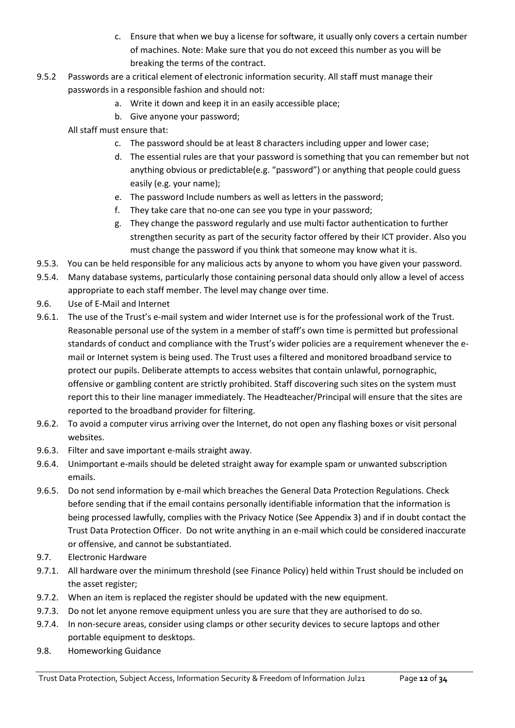- c. Ensure that when we buy a license for software, it usually only covers a certain number of machines. Note: Make sure that you do not exceed this number as you will be breaking the terms of the contract.
- 9.5.2 Passwords are a critical element of electronic information security. All staff must manage their passwords in a responsible fashion and should not:
	- a. Write it down and keep it in an easily accessible place;
	- b. Give anyone your password;
	- All staff must ensure that:
		- c. The password should be at least 8 characters including upper and lower case;
		- d. The essential rules are that your password is something that you can remember but not anything obvious or predictable(e.g. "password") or anything that people could guess easily (e.g. your name);
		- e. The password Include numbers as well as letters in the password;
		- f. They take care that no-one can see you type in your password;
		- g. They change the password regularly and use multi factor authentication to further strengthen security as part of the security factor offered by their ICT provider. Also you must change the password if you think that someone may know what it is.
- 9.5.3. You can be held responsible for any malicious acts by anyone to whom you have given your password.
- 9.5.4. Many database systems, particularly those containing personal data should only allow a level of access appropriate to each staff member. The level may change over time.
- 9.6. Use of E-Mail and Internet
- 9.6.1. The use of the Trust's e-mail system and wider Internet use is for the professional work of the Trust. Reasonable personal use of the system in a member of staff's own time is permitted but professional standards of conduct and compliance with the Trust's wider policies are a requirement whenever the email or Internet system is being used. The Trust uses a filtered and monitored broadband service to protect our pupils. Deliberate attempts to access websites that contain unlawful, pornographic, offensive or gambling content are strictly prohibited. Staff discovering such sites on the system must report this to their line manager immediately. The Headteacher/Principal will ensure that the sites are reported to the broadband provider for filtering.
- 9.6.2. To avoid a computer virus arriving over the Internet, do not open any flashing boxes or visit personal websites.
- 9.6.3. Filter and save important e-mails straight away.
- 9.6.4. Unimportant e-mails should be deleted straight away for example spam or unwanted subscription emails.
- 9.6.5. Do not send information by e-mail which breaches the General Data Protection Regulations. Check before sending that if the email contains personally identifiable information that the information is being processed lawfully, complies with the Privacy Notice (See Appendix 3) and if in doubt contact the Trust Data Protection Officer. Do not write anything in an e-mail which could be considered inaccurate or offensive, and cannot be substantiated.
- 9.7. Electronic Hardware
- 9.7.1. All hardware over the minimum threshold (see Finance Policy) held within Trust should be included on the asset register;
- 9.7.2. When an item is replaced the register should be updated with the new equipment.
- 9.7.3. Do not let anyone remove equipment unless you are sure that they are authorised to do so.
- 9.7.4. In non-secure areas, consider using clamps or other security devices to secure laptops and other portable equipment to desktops.
- 9.8. Homeworking Guidance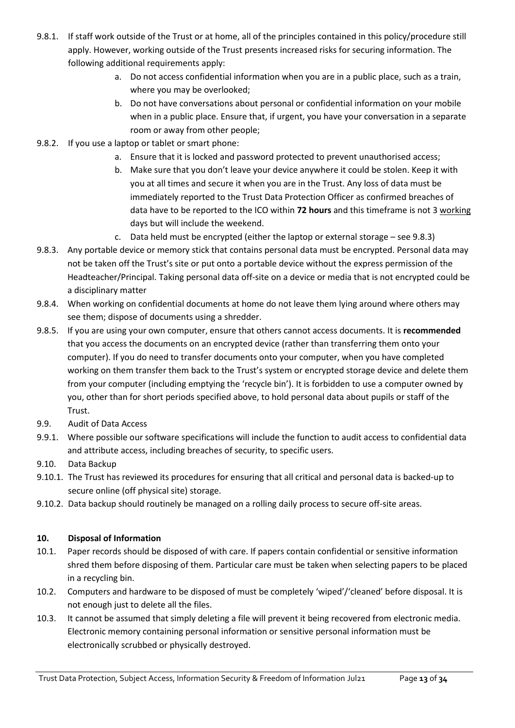- 9.8.1. If staff work outside of the Trust or at home, all of the principles contained in this policy/procedure still apply. However, working outside of the Trust presents increased risks for securing information. The following additional requirements apply:
	- a. Do not access confidential information when you are in a public place, such as a train, where you may be overlooked;
	- b. Do not have conversations about personal or confidential information on your mobile when in a public place. Ensure that, if urgent, you have your conversation in a separate room or away from other people;
- 9.8.2. If you use a laptop or tablet or smart phone:
	- a. Ensure that it is locked and password protected to prevent unauthorised access;
	- b. Make sure that you don't leave your device anywhere it could be stolen. Keep it with you at all times and secure it when you are in the Trust. Any loss of data must be immediately reported to the Trust Data Protection Officer as confirmed breaches of data have to be reported to the ICO within **72 hours** and this timeframe is not 3 working days but will include the weekend.
	- c. Data held must be encrypted (either the laptop or external storage see 9.8.3)
- 9.8.3. Any portable device or memory stick that contains personal data must be encrypted. Personal data may not be taken off the Trust's site or put onto a portable device without the express permission of the Headteacher/Principal. Taking personal data off-site on a device or media that is not encrypted could be a disciplinary matter
- 9.8.4. When working on confidential documents at home do not leave them lying around where others may see them; dispose of documents using a shredder.
- 9.8.5. If you are using your own computer, ensure that others cannot access documents. It is **recommended** that you access the documents on an encrypted device (rather than transferring them onto your computer). If you do need to transfer documents onto your computer, when you have completed working on them transfer them back to the Trust's system or encrypted storage device and delete them from your computer (including emptying the 'recycle bin'). It is forbidden to use a computer owned by you, other than for short periods specified above, to hold personal data about pupils or staff of the Trust.
- 9.9. Audit of Data Access
- 9.9.1. Where possible our software specifications will include the function to audit access to confidential data and attribute access, including breaches of security, to specific users.
- 9.10. Data Backup
- 9.10.1. The Trust has reviewed its procedures for ensuring that all critical and personal data is backed-up to secure online (off physical site) storage.
- <span id="page-12-0"></span>9.10.2. Data backup should routinely be managed on a rolling daily process to secure off-site areas.

# **10. Disposal of Information**

- 10.1. Paper records should be disposed of with care. If papers contain confidential or sensitive information shred them before disposing of them. Particular care must be taken when selecting papers to be placed in a recycling bin.
- 10.2. Computers and hardware to be disposed of must be completely 'wiped'/'cleaned' before disposal. It is not enough just to delete all the files.
- 10.3. It cannot be assumed that simply deleting a file will prevent it being recovered from electronic media. Electronic memory containing personal information or sensitive personal information must be electronically scrubbed or physically destroyed.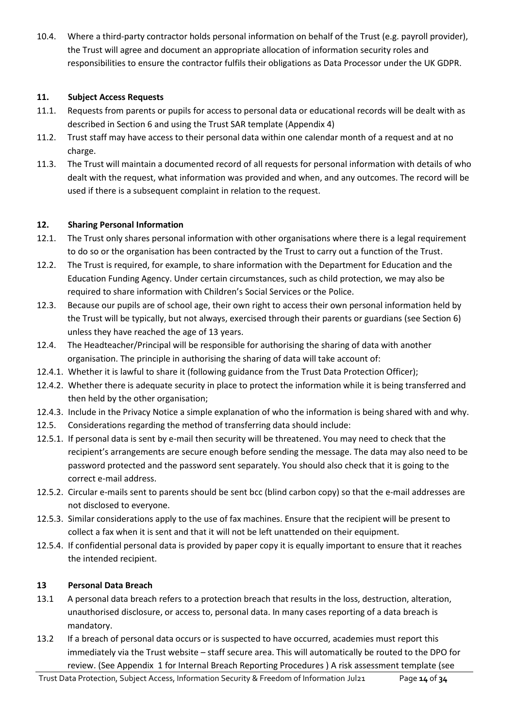10.4. Where a third-party contractor holds personal information on behalf of the Trust (e.g. payroll provider), the Trust will agree and document an appropriate allocation of information security roles and responsibilities to ensure the contractor fulfils their obligations as Data Processor under the UK GDPR.

# <span id="page-13-0"></span>**11. Subject Access Requests**

- 11.1. Requests from parents or pupils for access to personal data or educational records will be dealt with as described in Section 6 and using the Trust SAR template (Appendix 4)
- 11.2. Trust staff may have access to their personal data within one calendar month of a request and at no charge.
- 11.3. The Trust will maintain a documented record of all requests for personal information with details of who dealt with the request, what information was provided and when, and any outcomes. The record will be used if there is a subsequent complaint in relation to the request.

# <span id="page-13-1"></span>**12. Sharing Personal Information**

- 12.1. The Trust only shares personal information with other organisations where there is a legal requirement to do so or the organisation has been contracted by the Trust to carry out a function of the Trust.
- 12.2. The Trust is required, for example, to share information with the Department for Education and the Education Funding Agency. Under certain circumstances, such as child protection, we may also be required to share information with Children's Social Services or the Police.
- 12.3. Because our pupils are of school age, their own right to access their own personal information held by the Trust will be typically, but not always, exercised through their parents or guardians (see Section 6) unless they have reached the age of 13 years.
- 12.4. The Headteacher/Principal will be responsible for authorising the sharing of data with another organisation. The principle in authorising the sharing of data will take account of:
- 12.4.1. Whether it is lawful to share it (following guidance from the Trust Data Protection Officer);
- 12.4.2. Whether there is adequate security in place to protect the information while it is being transferred and then held by the other organisation;
- 12.4.3. Include in the Privacy Notice a simple explanation of who the information is being shared with and why.
- 12.5. Considerations regarding the method of transferring data should include:
- 12.5.1. If personal data is sent by e-mail then security will be threatened. You may need to check that the recipient's arrangements are secure enough before sending the message. The data may also need to be password protected and the password sent separately. You should also check that it is going to the correct e-mail address.
- 12.5.2. Circular e-mails sent to parents should be sent bcc (blind carbon copy) so that the e-mail addresses are not disclosed to everyone.
- 12.5.3. Similar considerations apply to the use of fax machines. Ensure that the recipient will be present to collect a fax when it is sent and that it will not be left unattended on their equipment.
- 12.5.4. If confidential personal data is provided by paper copy it is equally important to ensure that it reaches the intended recipient.

# **13 Personal Data Breach**

- 13.1 A personal data breach refers to a protection breach that results in the loss, destruction, alteration, unauthorised disclosure, or access to, personal data. In many cases reporting of a data breach is mandatory.
- 13.2 If a breach of personal data occurs or is suspected to have occurred, academies must report this immediately via the Trust website – staff secure area. This will automatically be routed to the DPO for review. (See Appendix 1 for Internal Breach Reporting Procedures ) A risk assessment template (see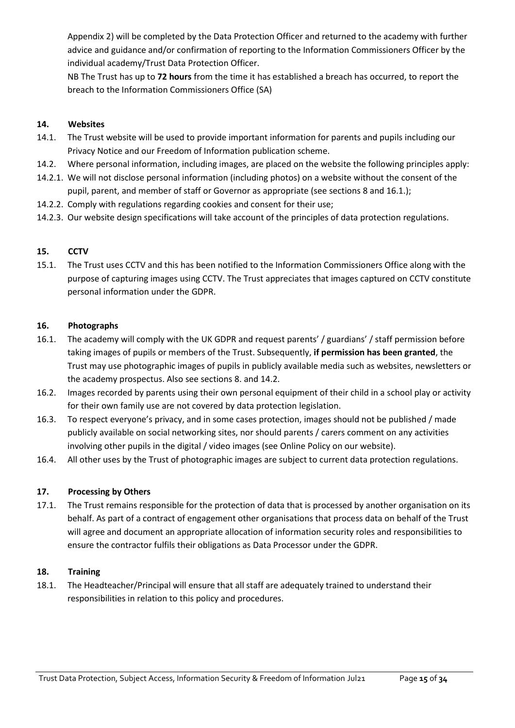Appendix 2) will be completed by the Data Protection Officer and returned to the academy with further advice and guidance and/or confirmation of reporting to the Information Commissioners Officer by the individual academy/Trust Data Protection Officer.

NB The Trust has up to **72 hours** from the time it has established a breach has occurred, to report the breach to the Information Commissioners Office (SA)

# <span id="page-14-0"></span>**14. Websites**

- 14.1. The Trust website will be used to provide important information for parents and pupils including our Privacy Notice and our Freedom of Information publication scheme.
- 14.2. Where personal information, including images, are placed on the website the following principles apply:
- 14.2.1. We will not disclose personal information (including photos) on a website without the consent of the pupil, parent, and member of staff or Governor as appropriate (see sections 8 and 16.1.);
- 14.2.2. Comply with regulations regarding cookies and consent for their use;
- <span id="page-14-1"></span>14.2.3. Our website design specifications will take account of the principles of data protection regulations.

# **15. CCTV**

15.1. The Trust uses CCTV and this has been notified to the Information Commissioners Office along with the purpose of capturing images using CCTV. The Trust appreciates that images captured on CCTV constitute personal information under the GDPR.

#### <span id="page-14-2"></span>**16. Photographs**

- 16.1. The academy will comply with the UK GDPR and request parents' / guardians' / staff permission before taking images of pupils or members of the Trust. Subsequently, **if permission has been granted**, the Trust may use photographic images of pupils in publicly available media such as websites, newsletters or the academy prospectus. Also see sections 8. and 14.2.
- 16.2. Images recorded by parents using their own personal equipment of their child in a school play or activity for their own family use are not covered by data protection legislation.
- 16.3. To respect everyone's privacy, and in some cases protection, images should not be published / made publicly available on social networking sites, nor should parents / carers comment on any activities involving other pupils in the digital / video images (see Online Policy on our website).
- <span id="page-14-3"></span>16.4. All other uses by the Trust of photographic images are subject to current data protection regulations.

# **17. Processing by Others**

<span id="page-14-4"></span>17.1. The Trust remains responsible for the protection of data that is processed by another organisation on its behalf. As part of a contract of engagement other organisations that process data on behalf of the Trust will agree and document an appropriate allocation of information security roles and responsibilities to ensure the contractor fulfils their obligations as Data Processor under the GDPR.

#### **18. Training**

18.1. The Headteacher/Principal will ensure that all staff are adequately trained to understand their responsibilities in relation to this policy and procedures.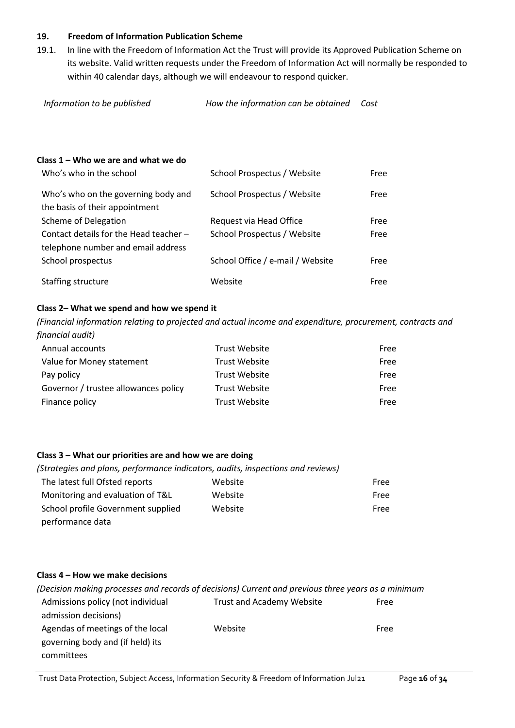#### <span id="page-15-0"></span>**19. Freedom of Information Publication Scheme**

19.1. In line with the Freedom of Information Act the Trust will provide its Approved Publication Scheme on its website. Valid written requests under the Freedom of Information Act will normally be responded to within 40 calendar days, although we will endeavour to respond quicker.

*Information to be published How the information can be obtained Cost* 

#### **Class 1 – Who we are and what we do**

| Who's who in the school                                                      | School Prospectus / Website      | Free |
|------------------------------------------------------------------------------|----------------------------------|------|
| Who's who on the governing body and<br>the basis of their appointment        | School Prospectus / Website      | Free |
| <b>Scheme of Delegation</b>                                                  | Request via Head Office          | Free |
| Contact details for the Head teacher -<br>telephone number and email address | School Prospectus / Website      | Free |
| School prospectus                                                            | School Office / e-mail / Website | Free |
| Staffing structure                                                           | Website                          | Free |

#### **Class 2– What we spend and how we spend it**

*(Financial information relating to projected and actual income and expenditure, procurement, contracts and financial audit)*

| Annual accounts                      | <b>Trust Website</b> | Free |
|--------------------------------------|----------------------|------|
| Value for Money statement            | <b>Trust Website</b> | Free |
| Pay policy                           | <b>Trust Website</b> | Free |
| Governor / trustee allowances policy | <b>Trust Website</b> | Free |
| Finance policy                       | <b>Trust Website</b> | Free |

#### **Class 3 – What our priorities are and how we are doing**

| (Strategies and plans, performance indicators, audits, inspections and reviews) |         |      |
|---------------------------------------------------------------------------------|---------|------|
| The latest full Ofsted reports                                                  | Website | Free |
| Monitoring and evaluation of T&L                                                | Website | Free |
| School profile Government supplied                                              | Website | Free |
| performance data                                                                |         |      |

#### **Class 4 – How we make decisions**

| (Decision making processes and records of decisions) Current and previous three years as a minimum |      |
|----------------------------------------------------------------------------------------------------|------|
| <b>Trust and Academy Website</b>                                                                   | Free |
|                                                                                                    |      |
| Website                                                                                            | Free |
|                                                                                                    |      |
|                                                                                                    |      |
|                                                                                                    |      |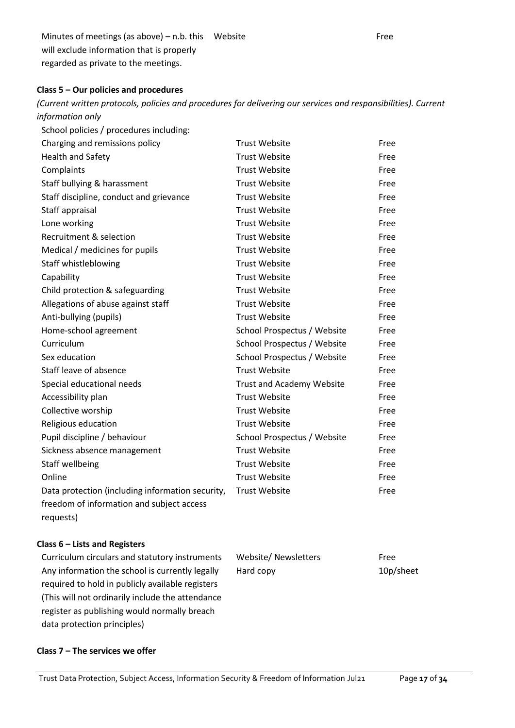Minutes of meetings (as above) – n.b. this Website **Free** will exclude information that is properly regarded as private to the meetings.

#### **Class 5 – Our policies and procedures**

*(Current written protocols, policies and procedures for delivering our services and responsibilities). Current information only*

| School policies / procedures including:          |                                  |      |
|--------------------------------------------------|----------------------------------|------|
| Charging and remissions policy                   | <b>Trust Website</b>             | Free |
| <b>Health and Safety</b>                         | <b>Trust Website</b>             | Free |
| Complaints                                       | <b>Trust Website</b>             | Free |
| Staff bullying & harassment                      | <b>Trust Website</b>             | Free |
| Staff discipline, conduct and grievance          | <b>Trust Website</b>             | Free |
| Staff appraisal                                  | <b>Trust Website</b>             | Free |
| Lone working                                     | <b>Trust Website</b>             | Free |
| Recruitment & selection                          | <b>Trust Website</b>             | Free |
| Medical / medicines for pupils                   | <b>Trust Website</b>             | Free |
| Staff whistleblowing                             | <b>Trust Website</b>             | Free |
| Capability                                       | <b>Trust Website</b>             | Free |
| Child protection & safeguarding                  | <b>Trust Website</b>             | Free |
| Allegations of abuse against staff               | <b>Trust Website</b>             | Free |
| Anti-bullying (pupils)                           | <b>Trust Website</b>             | Free |
| Home-school agreement                            | School Prospectus / Website      | Free |
| Curriculum                                       | School Prospectus / Website      | Free |
| Sex education                                    | School Prospectus / Website      | Free |
| Staff leave of absence                           | <b>Trust Website</b>             | Free |
| Special educational needs                        | <b>Trust and Academy Website</b> | Free |
| Accessibility plan                               | <b>Trust Website</b>             | Free |
| Collective worship                               | <b>Trust Website</b>             | Free |
| Religious education                              | <b>Trust Website</b>             | Free |
| Pupil discipline / behaviour                     | School Prospectus / Website      | Free |
| Sickness absence management                      | <b>Trust Website</b>             | Free |
| Staff wellbeing                                  | <b>Trust Website</b>             | Free |
| Online                                           | <b>Trust Website</b>             | Free |
| Data protection (including information security, | <b>Trust Website</b>             | Free |
| freedom of information and subject access        |                                  |      |

requests)

#### **Class 6 – Lists and Registers**

Curriculum circulars and statutory instruments Any information the school is currently legally required to hold in publicly available registers (This will not ordinarily include the attendance register as publishing would normally breach data protection principles)

| Website/Newsletters | Free      |
|---------------------|-----------|
| Hard copy           | 10p/sheet |

# **Class 7 – The services we offer**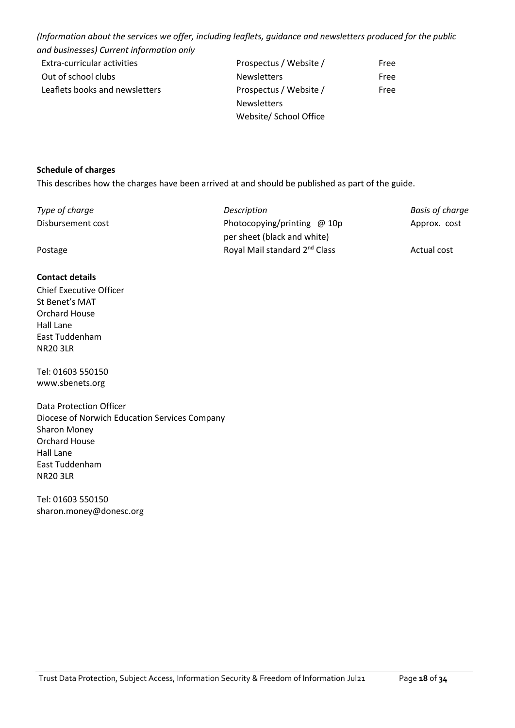*(Information about the services we offer, including leaflets, guidance and newsletters produced for the public and businesses) Current information only*

| and basinesses) carrent information omy |                        |      |
|-----------------------------------------|------------------------|------|
| Extra-curricular activities             | Prospectus / Website / | Free |
| Out of school clubs                     | <b>Newsletters</b>     | Free |
| Leaflets books and newsletters          | Prospectus / Website / | Free |
|                                         | <b>Newsletters</b>     |      |
|                                         | Website/ School Office |      |

#### **Schedule of charges**

This describes how the charges have been arrived at and should be published as part of the guide.

| Type of charge    | Description                               | <b>Basis of charge</b> |
|-------------------|-------------------------------------------|------------------------|
| Disbursement cost | Photocopying/printing $@10p$              | Approx. cost           |
|                   | per sheet (black and white)               |                        |
| Postage           | Royal Mail standard 2 <sup>nd</sup> Class | Actual cost            |

#### **Contact details**

Chief Executive Officer St Benet's MAT Orchard House Hall Lane East Tuddenham NR20 3LR

Tel: 01603 550150 [www.sbenets.org](http://www.sbenets.org/)

Data Protection Officer Diocese of Norwich Education Services Company Sharon Money Orchard House Hall Lane East Tuddenham NR20 3LR

Tel: 01603 550150 [sharon.money@donesc.org](mailto:sharon.money@donesc.org)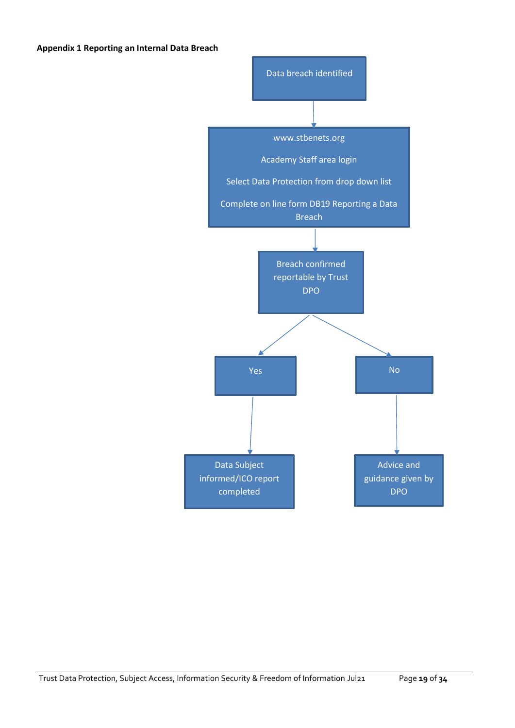#### **Appendix 1 Reporting an Internal Data Breach**

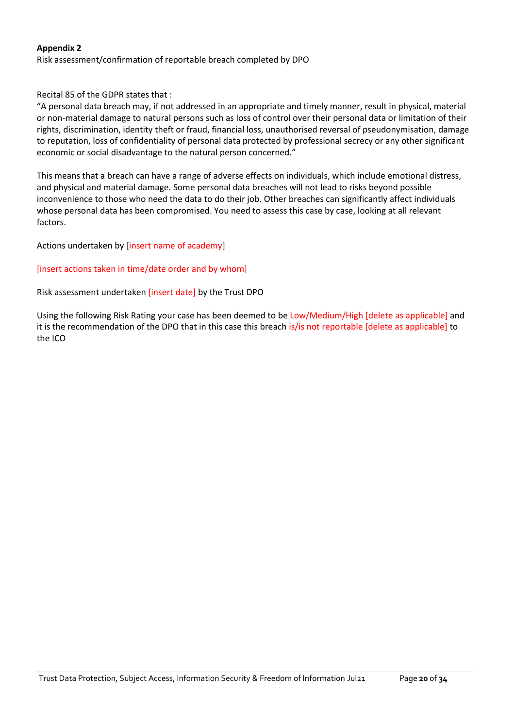#### **Appendix 2**

Risk assessment/confirmation of reportable breach completed by DPO

Recital 85 of the GDPR states that :

"A personal data breach may, if not addressed in an appropriate and timely manner, result in physical, material or non-material damage to natural persons such as loss of control over their personal data or limitation of their rights, discrimination, identity theft or fraud, financial loss, unauthorised reversal of pseudonymisation, damage to reputation, loss of confidentiality of personal data protected by professional secrecy or any other significant economic or social disadvantage to the natural person concerned."

This means that a breach can have a range of adverse effects on individuals, which include emotional distress, and physical and material damage. Some personal data breaches will not lead to risks beyond possible inconvenience to those who need the data to do their job. Other breaches can significantly affect individuals whose personal data has been compromised. You need to assess this case by case, looking at all relevant factors.

Actions undertaken by [insert name of academy]

#### [insert actions taken in time/date order and by whom]

Risk assessment undertaken [insert date] by the Trust DPO

Using the following Risk Rating your case has been deemed to be Low/Medium/High [delete as applicable] and it is the recommendation of the DPO that in this case this breach is/is not reportable [delete as applicable] to the ICO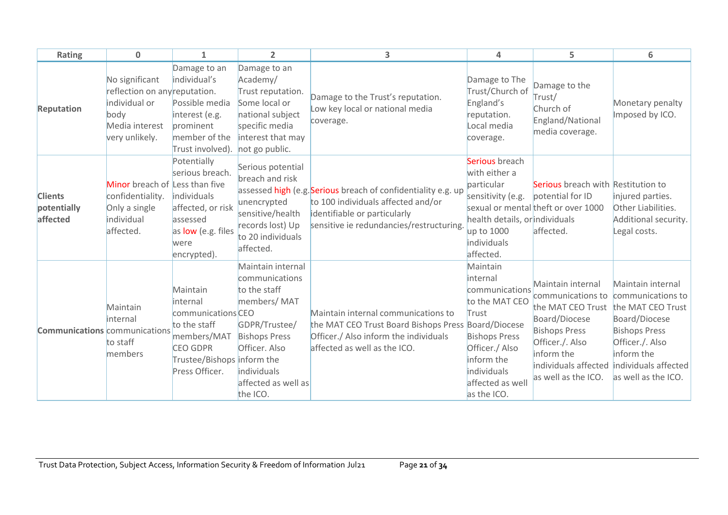| Rating                                    | $\mathbf{0}$                                                                                                 | 1                                                                                                                                            | $\overline{2}$                                                                                                                                                                 | 3                                                                                                                                                                               | 4                                                                                                                                                                           | 5                                                                                                                                                                                    | 6                                                                                                                                                                                    |
|-------------------------------------------|--------------------------------------------------------------------------------------------------------------|----------------------------------------------------------------------------------------------------------------------------------------------|--------------------------------------------------------------------------------------------------------------------------------------------------------------------------------|---------------------------------------------------------------------------------------------------------------------------------------------------------------------------------|-----------------------------------------------------------------------------------------------------------------------------------------------------------------------------|--------------------------------------------------------------------------------------------------------------------------------------------------------------------------------------|--------------------------------------------------------------------------------------------------------------------------------------------------------------------------------------|
| Reputation                                | No significant<br>reflection on any reputation.<br>individual or<br>body<br>Media interest<br>very unlikely. | Damage to an<br>individual's<br>Possible media<br>interest (e.g.<br>prominent<br>member of the<br>Trust involved).                           | Damage to an<br>Academy/<br>Trust reputation.<br>Some local or<br>national subject<br>specific media<br>interest that may<br>not go public.                                    | Damage to the Trust's reputation.<br>Low key local or national media<br>coverage.                                                                                               | Damage to The<br>Trust/Church of<br>England's<br>reputation.<br>Local media<br>coverage.                                                                                    | Damage to the<br>Trust/<br>Church of<br>England/National<br>media coverage.                                                                                                          | Monetary penalty<br>Imposed by ICO.                                                                                                                                                  |
| <b>Clients</b><br>potentially<br>affected | Minor breach of Less than five<br>confidentiality.<br>Only a single<br>individual<br>affected.               | Potentially<br>serious breach.<br>individuals<br>affected, or risk<br>assessed<br>as low (e.g. files<br>were<br>encrypted).                  | Serious potential<br>breach and risk<br>unencrypted<br>sensitive/health<br>records lost) Up<br>to 20 individuals<br>affected.                                                  | assessed high (e.g. Serious breach of confidentiality e.g. up<br>to 100 individuals affected and/or<br>identifiable or particularly<br>sensitive ie redundancies/restructuring. | Serious breach<br>with either a<br>particular<br>sensitivity (e.g.<br>health details, or individuals<br>up to 1000<br>individuals<br>affected.                              | Serious breach with Restitution to<br>potential for ID<br>sexual or mental theft or over 1000<br>affected.                                                                           | injured parties.<br>Other Liabilities.<br>Additional security.<br>Legal costs.                                                                                                       |
| <b>Communications</b> communications      | Maintain<br>internal<br>to staff<br>members                                                                  | Maintain<br>internal<br>communications CEO<br>to the staff<br>members/MAT<br><b>CEO GDPR</b><br>Trustee/Bishops inform the<br>Press Officer. | Maintain internal<br>communications<br>to the staff<br>members/MAT<br>GDPR/Trustee/<br><b>Bishops Press</b><br>Officer. Also<br>individuals<br>affected as well as<br>the ICO. | Maintain internal communications to<br>the MAT CEO Trust Board Bishops Press Board/Diocese<br>Officer./ Also inform the individuals<br>affected as well as the ICO.             | Maintain<br>internal<br>communications<br>to the MAT CEO<br>Trust<br><b>Bishops Press</b><br>Officer./ Also<br>inform the<br>individuals<br>affected as well<br>as the ICO. | Maintain internal<br>communications to<br>the MAT CEO Trust<br>Board/Diocese<br><b>Bishops Press</b><br>Officer./. Also<br>inform the<br>individuals affected<br>as well as the ICO. | Maintain internal<br>communications to<br>the MAT CEO Trust<br>Board/Diocese<br><b>Bishops Press</b><br>Officer./. Also<br>inform the<br>individuals affected<br>as well as the ICO. |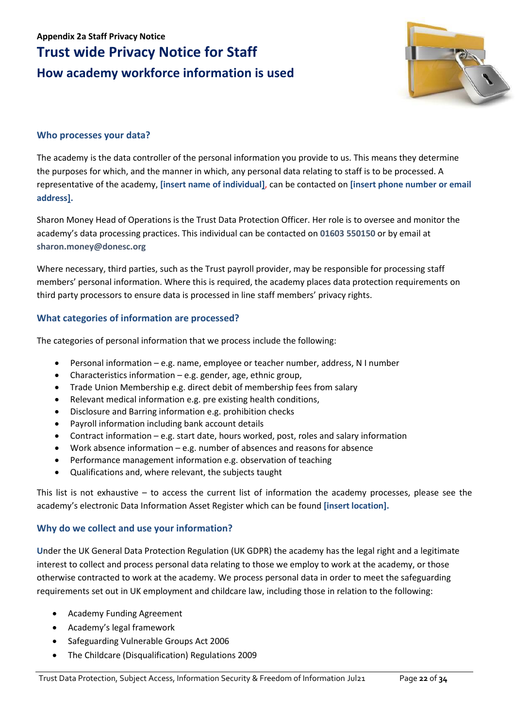# **Appendix 2a Staff Privacy Notice Trust wide Privacy Notice for Staff How academy workforce information is used**



# **Who processes your data?**

The academy is the data controller of the personal information you provide to us. This means they determine the purposes for which, and the manner in which, any personal data relating to staff is to be processed. A representative of the academy, **[insert name of individual]**, can be contacted on **[insert phone number or email address].**

Sharon Money Head of Operations is the Trust Data Protection Officer. Her role is to oversee and monitor the academy's data processing practices. This individual can be contacted on **01603 550150** or by email at **sharon.money@donesc.org**

Where necessary, third parties, such as the Trust payroll provider, may be responsible for processing staff members' personal information. Where this is required, the academy places data protection requirements on third party processors to ensure data is processed in line staff members' privacy rights.

# **What categories of information are processed?**

The categories of personal information that we process include the following:

- Personal information e.g. name, employee or teacher number, address, N I number
- Characteristics information  $-e.g.$  gender, age, ethnic group,
- Trade Union Membership e.g. direct debit of membership fees from salary
- Relevant medical information e.g. pre existing health conditions,
- Disclosure and Barring information e.g. prohibition checks
- Payroll information including bank account details
- Contract information e.g. start date, hours worked, post, roles and salary information
- Work absence information e.g. number of absences and reasons for absence
- Performance management information e.g. observation of teaching
- Qualifications and, where relevant, the subjects taught

This list is not exhaustive – to access the current list of information the academy processes, please see the academy's electronic Data Information Asset Register which can be found **[insert location].**

# **Why do we collect and use your information?**

**U**nder the UK General Data Protection Regulation (UK GDPR) the academy has the legal right and a legitimate interest to collect and process personal data relating to those we employ to work at the academy, or those otherwise contracted to work at the academy. We process personal data in order to meet the safeguarding requirements set out in UK employment and childcare law, including those in relation to the following:

- Academy Funding Agreement
- Academy's legal framework
- Safeguarding Vulnerable Groups Act 2006
- The Childcare (Disqualification) Regulations 2009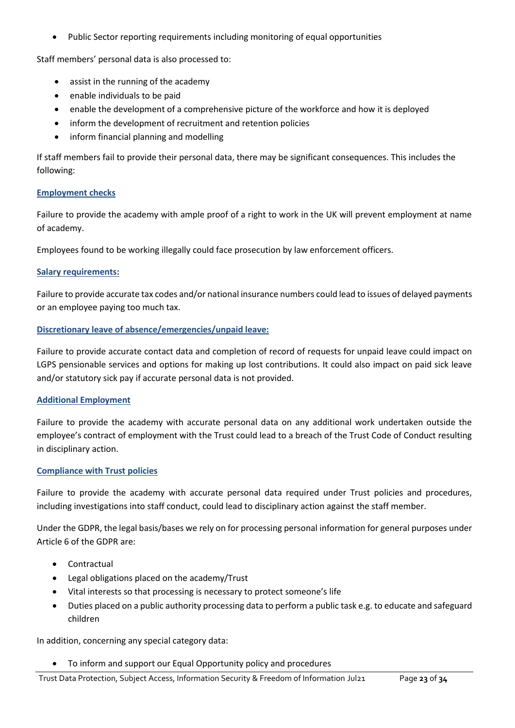• Public Sector reporting requirements including monitoring of equal opportunities

Staff members' personal data is also processed to:

- assist in the running of the academy
- enable individuals to be paid
- enable the development of a comprehensive picture of the workforce and how it is deployed
- inform the development of recruitment and retention policies
- inform financial planning and modelling

If staff members fail to provide their personal data, there may be significant consequences. This includes the following:

#### **Employment checks**

Failure to provide the academy with ample proof of a right to work in the UK will prevent employment at name of academy.

Employees found to be working illegally could face prosecution by law enforcement officers.

#### **Salary requirements:**

Failure to provide accurate tax codes and/or national insurance numbers could lead to issues of delayed payments or an employee paying too much tax.

#### **Discretionary leave of absence/emergencies/unpaid leave:**

Failure to provide accurate contact data and completion of record of requests for unpaid leave could impact on LGPS pensionable services and options for making up lost contributions. It could also impact on paid sick leave and/or statutory sick pay if accurate personal data is not provided.

#### **Additional Employment**

Failure to provide the academy with accurate personal data on any additional work undertaken outside the employee's contract of employment with the Trust could lead to a breach of the Trust Code of Conduct resulting in disciplinary action.

#### **Compliance with Trust policies**

Failure to provide the academy with accurate personal data required under Trust policies and procedures, including investigations into staff conduct, could lead to disciplinary action against the staff member.

Under the GDPR, the legal basis/bases we rely on for processing personal information for general purposes under Article 6 of the GDPR are:

- Contractual
- Legal obligations placed on the academy/Trust
- Vital interests so that processing is necessary to protect someone's life
- Duties placed on a public authority processing data to perform a public task e.g. to educate and safeguard children

In addition, concerning any special category data:

• To inform and support our Equal Opportunity policy and procedures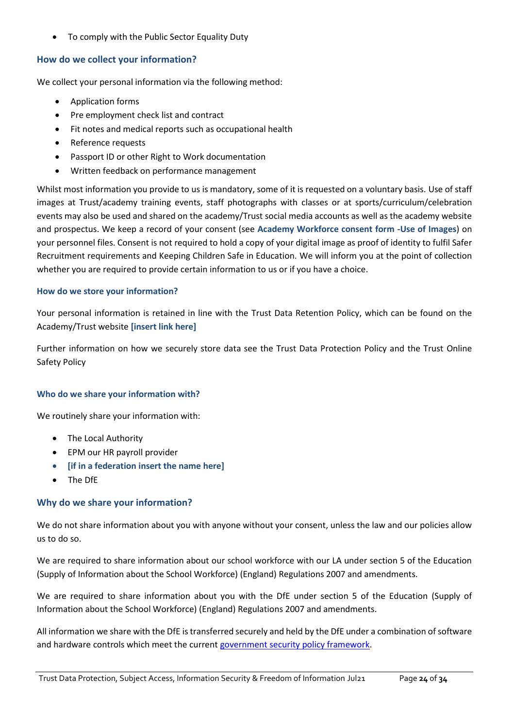• To comply with the Public Sector Equality Duty

# **How do we collect your information?**

We collect your personal information via the following method:

- Application forms
- Pre employment check list and contract
- Fit notes and medical reports such as occupational health
- Reference requests
- Passport ID or other Right to Work documentation
- Written feedback on performance management

Whilst most information you provide to us is mandatory, some of it is requested on a voluntary basis. Use of staff images at Trust/academy training events, staff photographs with classes or at sports/curriculum/celebration events may also be used and shared on the academy/Trust social media accounts as well as the academy website and prospectus. We keep a record of your consent (see **Academy Workforce consent form -Use of Images**) on your personnel files. Consent is not required to hold a copy of your digital image as proof of identity to fulfil Safer Recruitment requirements and Keeping Children Safe in Education. We will inform you at the point of collection whether you are required to provide certain information to us or if you have a choice.

#### **How do we store your information?**

Your personal information is retained in line with the Trust Data Retention Policy, which can be found on the Academy/Trust website **[insert link here]**

Further information on how we securely store data see the Trust Data Protection Policy and the Trust Online Safety Policy

#### **Who do we share your information with?**

We routinely share your information with:

- The Local Authority
- EPM our HR payroll provider
- **[if in a federation insert the name here]**
- The DfE

#### **Why do we share your information?**

We do not share information about you with anyone without your consent, unless the law and our policies allow us to do so.

We are required to share information about our school workforce with our LA under section 5 of the Education (Supply of Information about the School Workforce) (England) Regulations 2007 and amendments.

We are required to share information about you with the DfE under section 5 of the Education (Supply of Information about the School Workforce) (England) Regulations 2007 and amendments.

All information we share with the DfE is transferred securely and held by the DfE under a combination of software and hardware controls which meet the current [government security policy framework.](https://www.gov.uk/government/publications/security-policy-framework)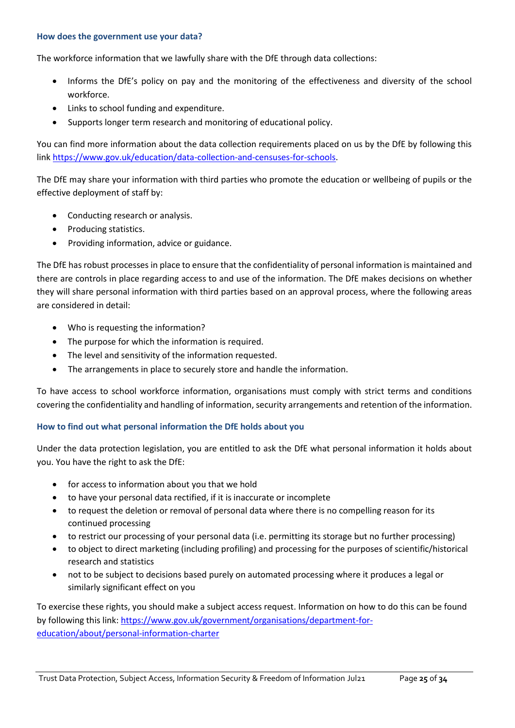#### **How does the government use your data?**

The workforce information that we lawfully share with the DfE through data collections:

- Informs the DfE's policy on pay and the monitoring of the effectiveness and diversity of the school workforce.
- Links to school funding and expenditure.
- Supports longer term research and monitoring of educational policy.

You can find more information about the data collection requirements placed on us by the DfE by following this link [https://www.gov.uk/education/data-collection-and-censuses-for-schools.](https://www.gov.uk/education/data-collection-and-censuses-for-schools)

The DfE may share your information with third parties who promote the education or wellbeing of pupils or the effective deployment of staff by:

- Conducting research or analysis.
- Producing statistics.
- Providing information, advice or guidance.

The DfE has robust processes in place to ensure that the confidentiality of personal information is maintained and there are controls in place regarding access to and use of the information. The DfE makes decisions on whether they will share personal information with third parties based on an approval process, where the following areas are considered in detail:

- Who is requesting the information?
- The purpose for which the information is required.
- The level and sensitivity of the information requested.
- The arrangements in place to securely store and handle the information.

To have access to school workforce information, organisations must comply with strict terms and conditions covering the confidentiality and handling of information, security arrangements and retention of the information.

# **How to find out what personal information the DfE holds about you**

Under the data protection legislation, you are entitled to ask the DfE what personal information it holds about you. You have the right to ask the DfE:

- for access to information about you that we hold
- to have your personal data rectified, if it is inaccurate or incomplete
- to request the deletion or removal of personal data where there is no compelling reason for its continued processing
- to restrict our processing of your personal data (i.e. permitting its storage but no further processing)
- to object to direct marketing (including profiling) and processing for the purposes of scientific/historical research and statistics
- not to be subject to decisions based purely on automated processing where it produces a legal or similarly significant effect on you

To exercise these rights, you should make a subject access request. Information on how to do this can be found by following this link[: https://www.gov.uk/government/organisations/department-for](https://www.gov.uk/government/organisations/department-for-education/about/personal-information-charter)[education/about/personal-information-charter](https://www.gov.uk/government/organisations/department-for-education/about/personal-information-charter)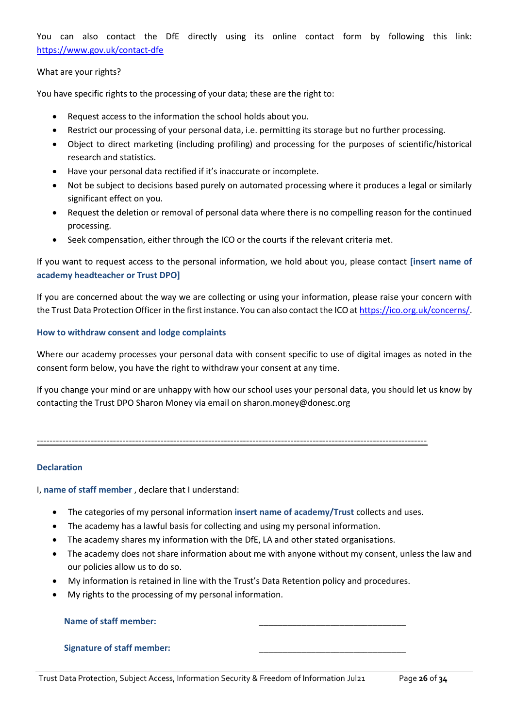You can also contact the DfE directly using its online contact form by following this link: <https://www.gov.uk/contact-dfe>

#### What are your rights?

You have specific rights to the processing of your data; these are the right to:

- Request access to the information the school holds about you.
- Restrict our processing of your personal data, i.e. permitting its storage but no further processing.
- Object to direct marketing (including profiling) and processing for the purposes of scientific/historical research and statistics.
- Have your personal data rectified if it's inaccurate or incomplete.
- Not be subject to decisions based purely on automated processing where it produces a legal or similarly significant effect on you.
- Request the deletion or removal of personal data where there is no compelling reason for the continued processing.
- Seek compensation, either through the ICO or the courts if the relevant criteria met.

If you want to request access to the personal information, we hold about you, please contact **[insert name of academy headteacher or Trust DPO]**

If you are concerned about the way we are collecting or using your information, please raise your concern with the Trust Data Protection Officer in the first instance. You can also contact the ICO a[t https://ico.org.uk/concerns/.](https://ico.org.uk/concerns/)

#### **How to withdraw consent and lodge complaints**

Where our academy processes your personal data with consent specific to use of digital images as noted in the consent form below, you have the right to withdraw your consent at any time.

If you change your mind or are unhappy with how our school uses your personal data, you should let us know by contacting the Trust DPO Sharon Money via email on sharon.money@donesc.org

#### ---------------------------------------------------------------------------------------------------------------------------

#### **Declaration**

I, **name of staff member** , declare that I understand:

- The categories of my personal information **insert name of academy/Trust** collects and uses.
- The academy has a lawful basis for collecting and using my personal information.
- The academy shares my information with the DfE, LA and other stated organisations.
- The academy does not share information about me with anyone without my consent, unless the law and our policies allow us to do so.
- My information is retained in line with the Trust's Data Retention policy and procedures.
- My rights to the processing of my personal information.

| <b>Name of staff member:</b>      |  |
|-----------------------------------|--|
|                                   |  |
| <b>Signature of staff member:</b> |  |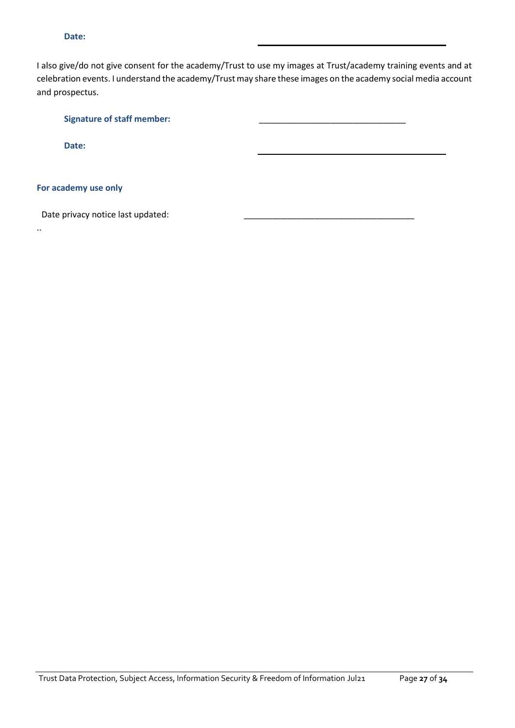#### **Date:**

I also give/do not give consent for the academy/Trust to use my images at Trust/academy training events and at celebration events. I understand the academy/Trust may share these images on the academy social media account and prospectus.

Signature of staff member: **Date:**

#### **For academy use only**

..

Date privacy notice last updated: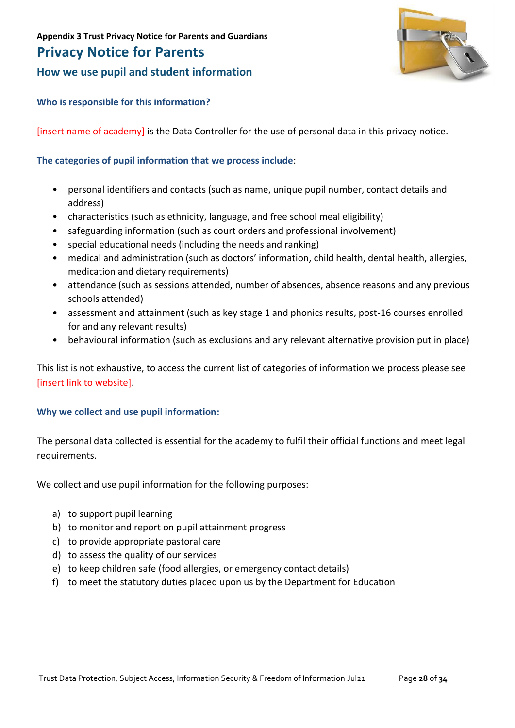# **Privacy Notice for Parents**

**How we use pupil and student information**



# **Who is responsible for this information?**

[insert name of academy] is the Data Controller for the use of personal data in this privacy notice.

# **The categories of pupil information that we process include**:

- personal identifiers and contacts (such as name, unique pupil number, contact details and address)
- characteristics (such as ethnicity, language, and free school meal eligibility)
- safeguarding information (such as court orders and professional involvement)
- special educational needs (including the needs and ranking)
- medical and administration (such as doctors' information, child health, dental health, allergies, medication and dietary requirements)
- attendance (such as sessions attended, number of absences, absence reasons and any previous schools attended)
- assessment and attainment (such as key stage 1 and phonics results, post-16 courses enrolled for and any relevant results)
- behavioural information (such as exclusions and any relevant alternative provision put in place)

This list is not exhaustive, to access the current list of categories of information we process please see [insert link to website].

# **Why we collect and use pupil information:**

The personal data collected is essential for the academy to fulfil their official functions and meet legal requirements.

We collect and use pupil information for the following purposes:

- a) to support pupil learning
- b) to monitor and report on pupil attainment progress
- c) to provide appropriate pastoral care
- d) to assess the quality of our services
- e) to keep children safe (food allergies, or emergency contact details)
- f) to meet the statutory duties placed upon us by the Department for Education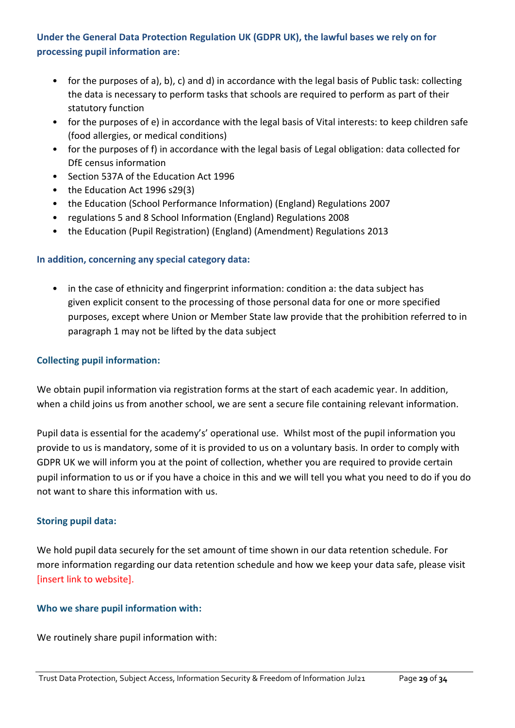# **Under the General Data Protection Regulation UK (GDPR UK), the lawful bases we rely on for processing pupil information are**:

- for the purposes of a), b), c) and d) in accordance with the legal basis of Public task: collecting the data is necessary to perform tasks that schools are required to perform as part of their statutory function
- for the purposes of e) in accordance with the legal basis of Vital interests: to keep children safe (food allergies, or medical conditions)
- for the purposes of f) in accordance with the legal basis of Legal obligation: data collected for DfE census information
- Section 537A of the Education Act 1996
- the Education Act 1996 s29(3)
- the Education (School Performance Information) (England) Regulations 2007
- regulations 5 and 8 School Information (England) Regulations 2008
- the Education (Pupil Registration) (England) (Amendment) Regulations 2013

# **In addition, concerning any special category data:**

in the case of ethnicity and fingerprint information: condition a: the data subject has given explicit consent to the processing of those personal data for one or more specified purposes, except where Union or Member State law provide that the prohibition referred to in paragraph 1 may not be lifted by the data subject

# **Collecting pupil information:**

We obtain pupil information via registration forms at the start of each academic year. In addition, when a child joins us from another school, we are sent a secure file containing relevant information.

Pupil data is essential for the academy's' operational use. Whilst most of the pupil information you provide to us is mandatory, some of it is provided to us on a voluntary basis. In order to comply with GDPR UK we will inform you at the point of collection, whether you are required to provide certain pupil information to us or if you have a choice in this and we will tell you what you need to do if you do not want to share this information with us.

# **Storing pupil data:**

We hold pupil data securely for the set amount of time shown in our data retention schedule. For more information regarding our data retention schedule and how we keep your data safe, please visit [insert link to website].

# **Who we share pupil information with:**

We routinely share pupil information with: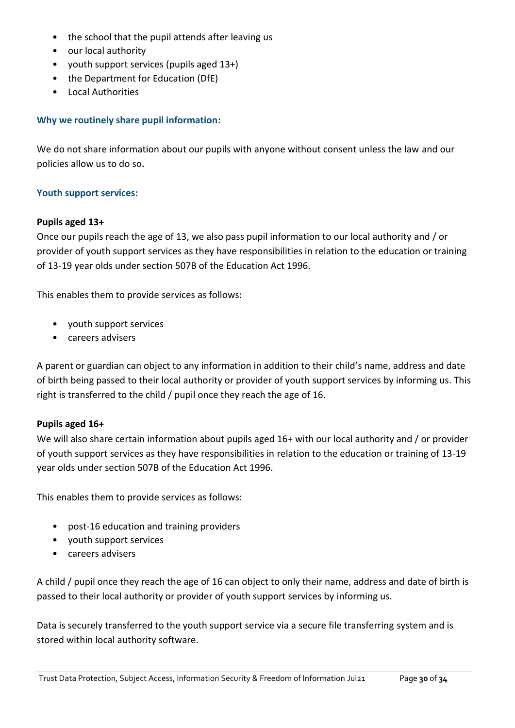- the school that the pupil attends after leaving us
- our local authority
- youth support services (pupils aged 13+)
- the Department for Education (DfE)
- Local Authorities

# **Why we routinely share pupil information:**

We do not share information about our pupils with anyone without consent unless the law and our policies allow us to do so**.**

# **Youth support services:**

# **Pupils aged 13+**

Once our pupils reach the age of 13, we also pass pupil information to our local authority and / or provider of youth support services as they have responsibilities in relation to the education or training of 13-19 year olds under section 507B of the Education Act 1996.

This enables them to provide services as follows:

- youth support services
- careers advisers

A parent or guardian can object to any information in addition to their child's name, address and date of birth being passed to their local authority or provider of youth support services by informing us. This right is transferred to the child / pupil once they reach the age of 16.

# **Pupils aged 16+**

We will also share certain information about pupils aged 16+ with our local authority and / or provider of youth support services as they have responsibilities in relation to the education or training of 13-19 year olds under section 507B of the Education Act 1996.

This enables them to provide services as follows:

- post-16 education and training providers
- youth support services
- careers advisers

A child / pupil once they reach the age of 16 can object to only their name, address and date of birth is passed to their local authority or provider of youth support services by informing us.

Data is securely transferred to the youth support service via a secure file transferring system and is stored within local authority software.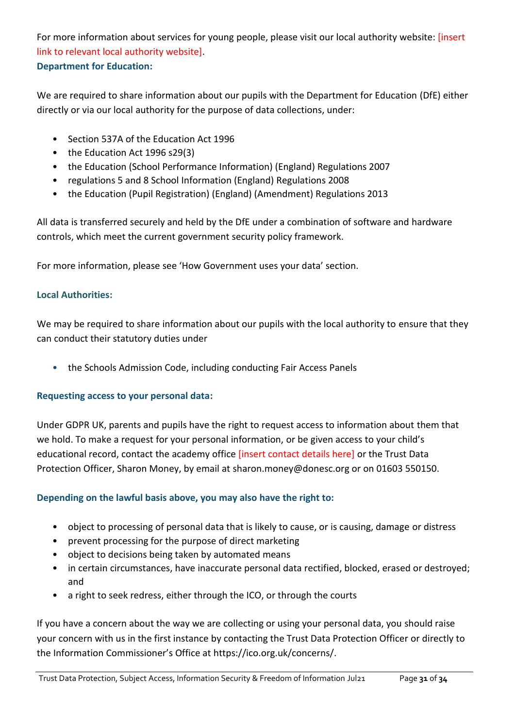For more information about services for young people, please visit our local authority website: [insert link to relevant local authority website]. **Department for Education:**

We are required to share information about our pupils with the Department for Education (DfE) either directly or via our local authority for the purpose of data collections, under:

- Section 537A of the Education Act 1996
- the Education Act 1996 s29(3)
- the Education (School Performance Information) (England) Regulations 2007
- regulations 5 and 8 School Information (England) Regulations 2008
- the Education (Pupil Registration) (England) (Amendment) Regulations 2013

All data is transferred securely and held by the DfE under a combination of software and hardware controls, which meet the current government security policy framework.

For more information, please see 'How Government uses your data' section.

# **Local Authorities:**

We may be required to share information about our pupils with the local authority to ensure that they can conduct their statutory duties under

• the Schools Admission Code, including conducting Fair Access Panels

# **Requesting access to your personal data:**

Under GDPR UK, parents and pupils have the right to request access to information about them that we hold. To make a request for your personal information, or be given access to your child's educational record, contact the academy office *[insert contact details here]* or the Trust Data Protection Officer, Sharon Money, by email at [sharon.money@donesc.org](mailto:sharon.money@donesc.org) or on 01603 550150.

# **Depending on the lawful basis above, you may also have the right to:**

- object to processing of personal data that is likely to cause, or is causing, damage or distress
- prevent processing for the purpose of direct marketing
- object to decisions being taken by automated means
- in certain circumstances, have inaccurate personal data rectified, blocked, erased or destroyed; and
- a right to seek redress, either through the ICO, or through the courts

If you have a concern about the way we are collecting or using your personal data, you should raise your concern with us in the first instance by contacting the Trust Data Protection Officer or directly to the Information Commissioner's Office at [https://ico.org.uk/concerns/.](https://ico.org.uk/concerns/)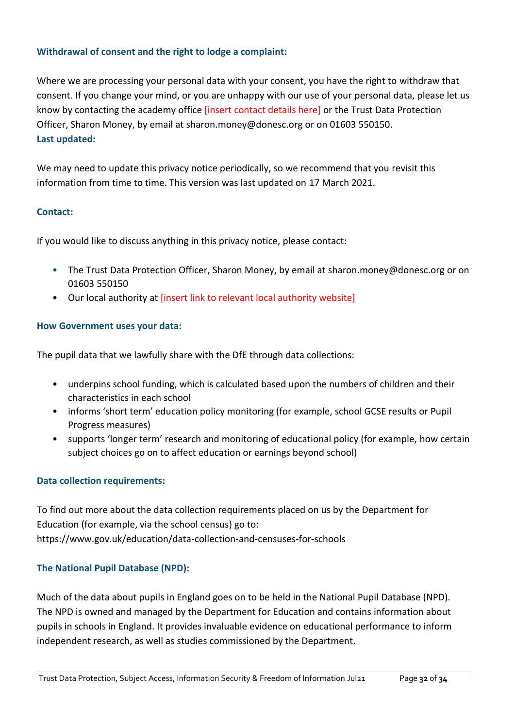# **Withdrawal of consent and the right to lodge a complaint:**

Where we are processing your personal data with your consent, you have the right to withdraw that consent. If you change your mind, or you are unhappy with our use of your personal data, please let us know by contacting the academy office [insert contact details here] or the Trust Data Protection Officer, Sharon Money, by email at [sharon.money@donesc.org](mailto:sharon.money@donesc.org) or on 01603 550150. **Last updated:**

We may need to update this privacy notice periodically, so we recommend that you revisit this information from time to time. This version was last updated on 17 March 2021.

# **Contact:**

If you would like to discuss anything in this privacy notice, please contact:

- The Trust Data Protection Officer, Sharon Money, by email at [sharon.money@donesc.org](mailto:sharon.money@donesc.org) or on 01603 550150
- Our local authority at [insert link to relevant local authority website]

# **How Government uses your data:**

The pupil data that we lawfully share with the DfE through data collections:

- underpins school funding, which is calculated based upon the numbers of children and their characteristics in each school
- informs 'short term' education policy monitoring (for example, school GCSE results or Pupil Progress measures)
- supports 'longer term' research and monitoring of educational policy (for example, how certain subject choices go on to affect education or earnings beyond school)

# **Data collection requirements:**

To find out more about the data collection requirements placed on us by the Department for Education (for example, via the school census) go to: <https://www.gov.uk/education/data-collection-and-censuses-for-schools>

# **The National Pupil Database (NPD):**

Much of the data about pupils in England goes on to be held in the National Pupil Database (NPD). The NPD is owned and managed by the Department for Education and contains information about pupils in schools in England. It provides invaluable evidence on educational performance to inform independent research, as well as studies commissioned by the Department.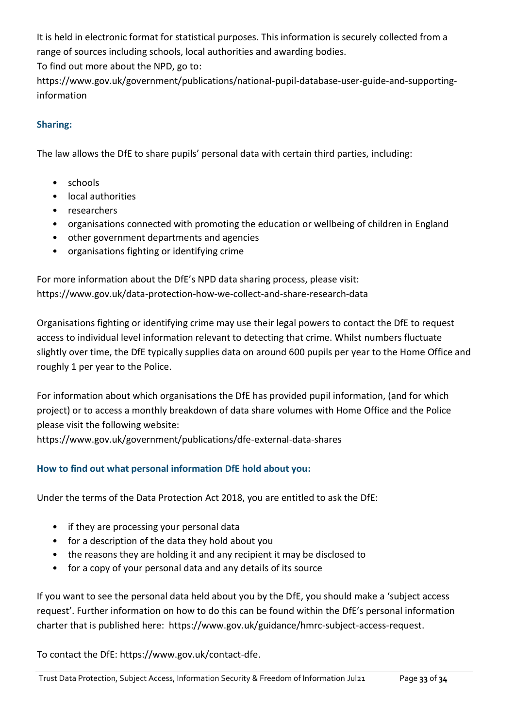It is held in electronic format for statistical purposes. This information is securely collected from a range of sources including schools, local authorities and awarding bodies.

To find out more about the NPD, go to:

[https://www.gov.uk/government/publications/national-pupil-database-user-guide-and-supporting](https://www.gov.uk/government/publications/national-pupil-database-user-guide-and-supporting-information)[information](https://www.gov.uk/government/publications/national-pupil-database-user-guide-and-supporting-information)

# **Sharing:**

The law allows the DfE to share pupils' personal data with certain third parties, including:

- schools
- local authorities
- researchers
- organisations connected with promoting the education or wellbeing of children in England
- other government departments and agencies
- organisations fighting or identifying crime

For more information about the DfE's NPD data sharing process, please visit: <https://www.gov.uk/data-protection-how-we-collect-and-share-research-data>

Organisations fighting or identifying crime may use their legal powers to contact the DfE to request access to individual level information relevant to detecting that crime. Whilst numbers fluctuate slightly over time, the DfE typically supplies data on around 600 pupils per year to the Home Office and roughly 1 per year to the Police.

For information about which organisations the DfE has provided pupil information, (and for which project) or to access a monthly breakdown of data share volumes with Home Office and the Police please visit the following website:

<https://www.gov.uk/government/publications/dfe-external-data-shares>

# **How to find out what personal information DfE hold about you:**

Under the terms of the Data Protection Act 2018, you are entitled to ask the DfE:

- if they are processing your personal data
- for a description of the data they hold about you
- the reasons they are holding it and any recipient it may be disclosed to
- for a copy of your personal data and any details of its source

If you want to see the personal data held about you by the DfE, you should make a 'subject access request'. Further information on how to do this can be found within the DfE's personal information charter that is published here: [https://www.gov.uk/guidance/hmrc-subject-access-request.](https://www.gov.uk/guidance/hmrc-subject-access-request)

To contact the DfE: [https://www.gov.uk/contact-dfe.](https://www.gov.uk/contact-dfe)